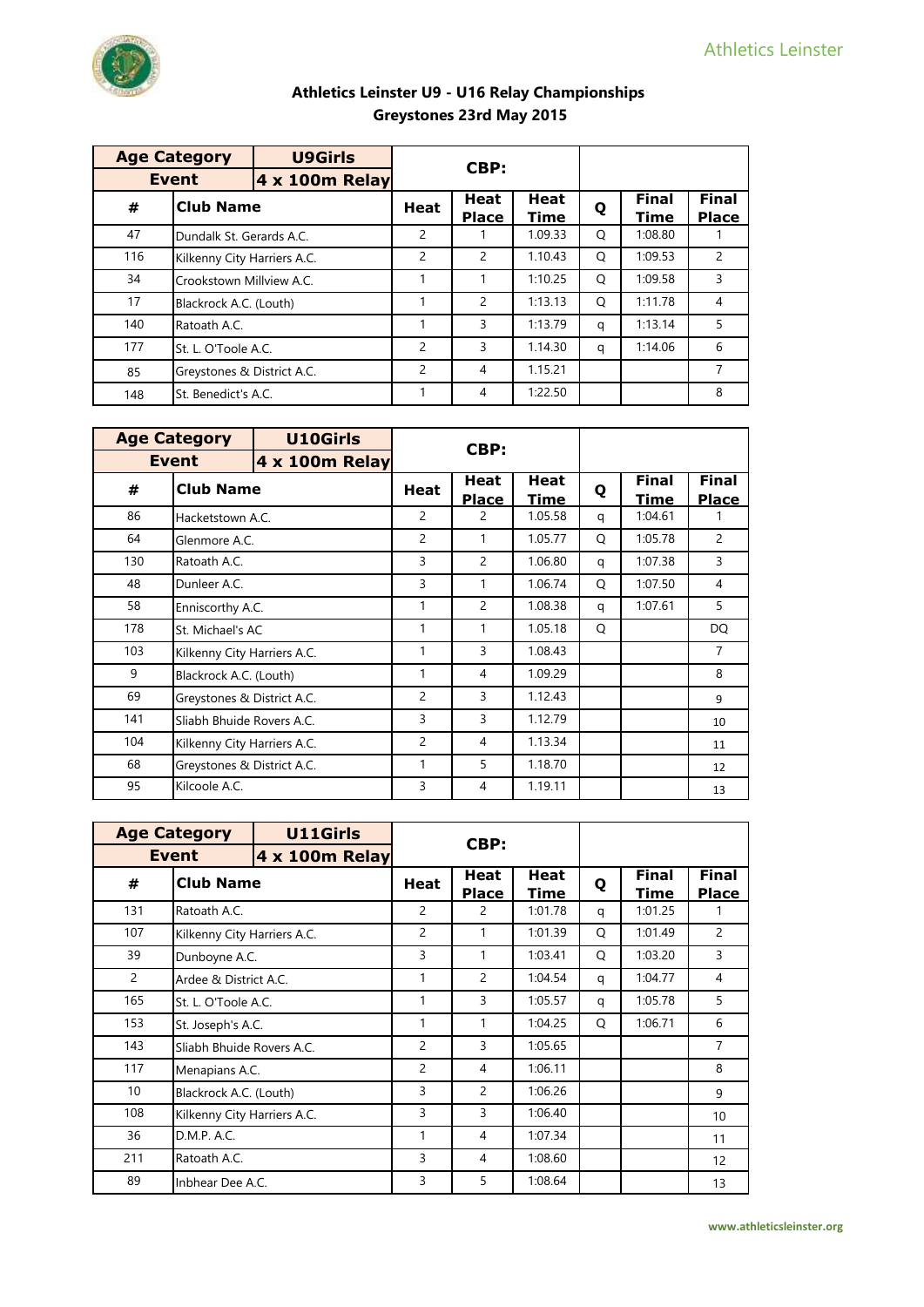|     | <b>Age Category</b>         | <b>U9Girls</b>        | CBP:          |                             |                            |   |                             |                              |
|-----|-----------------------------|-----------------------|---------------|-----------------------------|----------------------------|---|-----------------------------|------------------------------|
|     | <b>Event</b>                | <b>4 x 100m Relay</b> |               |                             |                            |   |                             |                              |
| #   | <b>Club Name</b>            |                       | <b>Heat</b>   | <b>Heat</b><br><b>Place</b> | <b>Heat</b><br><b>Time</b> | Q | <b>Final</b><br><b>Time</b> | <b>Final</b><br><b>Place</b> |
| 47  | Dundalk St. Gerards A.C.    |                       | 2             |                             | 1.09.33                    | O | 1:08.80                     |                              |
| 116 | Kilkenny City Harriers A.C. |                       | 2             | $\overline{2}$              | 1.10.43                    | O | 1:09.53                     | 2                            |
| 34  | Crookstown Millview A.C.    |                       |               |                             | 1:10.25                    | O | 1:09.58                     | 3                            |
| 17  | Blackrock A.C. (Louth)      |                       |               | $\overline{2}$              | 1:13.13                    | O | 1:11.78                     | 4                            |
| 140 | Ratoath A.C.                |                       |               | 3                           | 1:13.79                    | q | 1:13.14                     | 5                            |
| 177 | St. L. O'Toole A.C.         |                       | 2             | 3                           | 1.14.30                    | q | 1:14.06                     | 6                            |
| 85  | Greystones & District A.C.  |                       | $\mathcal{P}$ | 4                           | 1.15.21                    |   |                             | $\overline{7}$               |
| 148 | St. Benedict's A.C.         |                       |               | 4                           | 1:22.50                    |   |                             | 8                            |

|     | <b>Age Category</b>         | <b>U10Girls</b> |                | CBP:                        |                     |   |                      |                              |
|-----|-----------------------------|-----------------|----------------|-----------------------------|---------------------|---|----------------------|------------------------------|
|     | <b>Event</b>                | 4 x 100m Relay  |                |                             |                     |   |                      |                              |
| #   | <b>Club Name</b>            |                 | Heat           | <b>Heat</b><br><b>Place</b> | Heat<br><b>Time</b> | Q | <b>Final</b><br>Time | <b>Final</b><br><b>Place</b> |
| 86  | Hacketstown A.C.            |                 | $\overline{2}$ | 2                           | 1.05.58             | q | 1:04.61              |                              |
| 64  | Glenmore A.C.               |                 | $\overline{2}$ | 1                           | 1.05.77             | Q | 1:05.78              | $\overline{c}$               |
| 130 | Ratoath A.C.                |                 | 3              | $\mathcal{P}$               | 1.06.80             | q | 1:07.38              | 3                            |
| 48  | Dunleer A.C.                |                 | 3              | 1                           | 1.06.74             | Q | 1:07.50              | 4                            |
| 58  | Enniscorthy A.C.            |                 | 1              | $\overline{c}$              | 1.08.38             | q | 1:07.61              | 5                            |
| 178 | St. Michael's AC            |                 | 1              | 1                           | 1.05.18             | O |                      | DQ                           |
| 103 | Kilkenny City Harriers A.C. |                 | 1              | 3                           | 1.08.43             |   |                      | $\overline{7}$               |
| 9   | Blackrock A.C. (Louth)      |                 | 1              | 4                           | 1.09.29             |   |                      | 8                            |
| 69  | Greystones & District A.C.  |                 | $\overline{2}$ | 3                           | 1.12.43             |   |                      | 9                            |
| 141 | Sliabh Bhuide Rovers A.C.   |                 | 3              | 3                           | 1.12.79             |   |                      | 10                           |
| 104 | Kilkenny City Harriers A.C. |                 | $\overline{2}$ | 4                           | 1.13.34             |   |                      | 11                           |
| 68  | Greystones & District A.C.  |                 | 1              | 5                           | 1.18.70             |   |                      | 12                           |
| 95  | Kilcoole A.C.               |                 | 3              | 4                           | 1.19.11             |   |                      | 13                           |

|                 | <b>Age Category</b>         | U11Girls              |                |                             |                     |   |                             |                              |
|-----------------|-----------------------------|-----------------------|----------------|-----------------------------|---------------------|---|-----------------------------|------------------------------|
|                 | <b>Event</b>                | <b>4 x 100m Relay</b> |                | CBP:                        |                     |   |                             |                              |
| #               | <b>Club Name</b>            |                       | <b>Heat</b>    | <b>Heat</b><br><b>Place</b> | <b>Heat</b><br>Time | Q | <b>Final</b><br><b>Time</b> | <b>Final</b><br><b>Place</b> |
| 131             | Ratoath A.C.                |                       | $\overline{c}$ | $\mathcal{P}$               | 1:01.78             | q | 1:01.25                     | 1                            |
| 107             | Kilkenny City Harriers A.C. |                       | 2              | 1                           | 1:01.39             | O | 1:01.49                     | $\overline{c}$               |
| 39              | Dunboyne A.C.               |                       | 3              | 1                           | 1:03.41             | Q | 1:03.20                     | 3                            |
| $\overline{2}$  | Ardee & District A.C.       |                       | 1              | $\mathcal{P}$               | 1:04.54             | q | 1:04.77                     | 4                            |
| 165             | St. L. O'Toole A.C.         |                       | 1              | 3                           | 1:05.57             | q | 1:05.78                     | 5                            |
| 153             | St. Joseph's A.C.           |                       | 1              | 1                           | 1:04.25             | O | 1:06.71                     | 6                            |
| 143             | Sliabh Bhuide Rovers A.C.   |                       | $\overline{c}$ | 3                           | 1:05.65             |   |                             | 7                            |
| 117             | Menapians A.C.              |                       | $\overline{c}$ | 4                           | 1:06.11             |   |                             | 8                            |
| 10 <sup>°</sup> | Blackrock A.C. (Louth)      |                       | 3              | 2                           | 1:06.26             |   |                             | 9                            |
| 108             | Kilkenny City Harriers A.C. |                       | 3              | 3                           | 1:06.40             |   |                             | 10                           |
| 36              | D.M.P. A.C.                 |                       | 1              | 4                           | 1:07.34             |   |                             | 11                           |
| 211             | Ratoath A.C.                |                       | 3              | 4                           | 1:08.60             |   |                             | 12                           |
| 89              | Inbhear Dee A.C.            |                       | 3              | 5                           | 1:08.64             |   |                             | 13                           |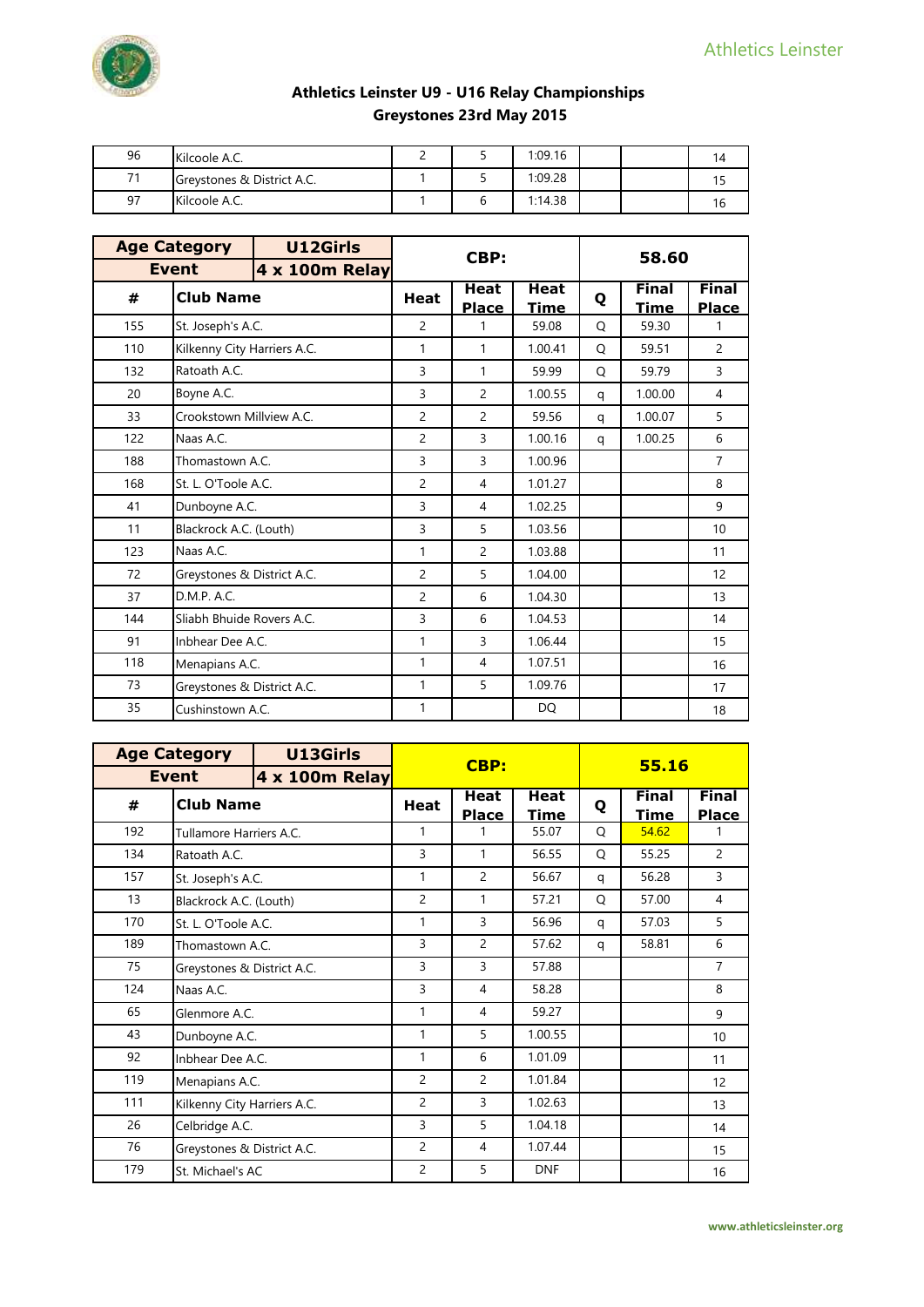

| 96 | Kilcoole A.C.              |  | 1:09.16 |  | 14 |
|----|----------------------------|--|---------|--|----|
| 74 | Greystones & District A.C. |  | 1:09.28 |  |    |
| 97 | Kilcoole A.C.              |  | 1:14.38 |  | 16 |

|     | <b>Age Category</b>         | U12Girls              |                | CBP:                        |                            | 58.60 |                             |                              |
|-----|-----------------------------|-----------------------|----------------|-----------------------------|----------------------------|-------|-----------------------------|------------------------------|
|     | <b>Event</b>                | <b>4 x 100m Relay</b> |                |                             |                            |       |                             |                              |
| #   | <b>Club Name</b>            |                       | <b>Heat</b>    | <b>Heat</b><br><b>Place</b> | <b>Heat</b><br><u>Time</u> | Q     | <b>Final</b><br><b>Time</b> | <b>Final</b><br><b>Place</b> |
| 155 | St. Joseph's A.C.           |                       | $\overline{c}$ | 1                           | 59.08                      | Q     | 59.30                       | 1                            |
| 110 | Kilkenny City Harriers A.C. |                       | 1              | 1                           | 1.00.41                    | Q     | 59.51                       | $\overline{2}$               |
| 132 | Ratoath A.C.                |                       | 3              | 1                           | 59.99                      | Q     | 59.79                       | 3                            |
| 20  | Boyne A.C.                  |                       | 3              | $\overline{2}$              | 1.00.55                    | q     | 1.00.00                     | $\overline{4}$               |
| 33  | Crookstown Millview A.C.    |                       | $\overline{c}$ | $\overline{2}$              | 59.56                      | q     | 1.00.07                     | 5                            |
| 122 | Naas A.C.                   |                       | $\overline{c}$ | 3                           | 1.00.16                    | q     | 1.00.25                     | 6                            |
| 188 | Thomastown A.C.             |                       | 3              | 3                           | 1.00.96                    |       |                             | $\overline{7}$               |
| 168 | St. L. O'Toole A.C.         |                       | $\overline{c}$ | $\overline{4}$              | 1.01.27                    |       |                             | 8                            |
| 41  | Dunboyne A.C.               |                       | 3              | 4                           | 1.02.25                    |       |                             | 9                            |
| 11  | Blackrock A.C. (Louth)      |                       | 3              | 5                           | 1.03.56                    |       |                             | 10                           |
| 123 | Naas A.C.                   |                       | $\mathbf{1}$   | $\overline{2}$              | 1.03.88                    |       |                             | 11                           |
| 72  | Greystones & District A.C.  |                       | $\overline{2}$ | 5                           | 1.04.00                    |       |                             | 12                           |
| 37  | D.M.P. A.C.                 |                       | $\overline{c}$ | 6                           | 1.04.30                    |       |                             | 13                           |
| 144 | Sliabh Bhuide Rovers A.C.   |                       | 3              | 6                           | 1.04.53                    |       |                             | 14                           |
| 91  | Inbhear Dee A.C.            |                       | $\mathbf{1}$   | 3                           | 1.06.44                    |       |                             | 15                           |
| 118 | Menapians A.C.              |                       | 1              | 4                           | 1.07.51                    |       |                             | 16                           |
| 73  | Greystones & District A.C.  |                       | 1              | 5                           | 1.09.76                    |       |                             | 17                           |
| 35  | Cushinstown A.C.            |                       | 1              |                             | DQ                         |       |                             | 18                           |

|     | <b>Age Category</b>         | U13Girls              |                | <b>CBP:</b>                 |                     |   | 55.16                |                              |
|-----|-----------------------------|-----------------------|----------------|-----------------------------|---------------------|---|----------------------|------------------------------|
|     | <b>Event</b>                | <b>4 x 100m Relay</b> |                |                             |                     |   |                      |                              |
| #   | <b>Club Name</b>            |                       | Heat           | <b>Heat</b><br><b>Place</b> | Heat<br><b>Time</b> | Q | <b>Final</b><br>Time | <b>Final</b><br><b>Place</b> |
| 192 | Tullamore Harriers A.C.     |                       | 1              |                             | 55.07               | O | 54.62                | 1                            |
| 134 | Ratoath A.C.                |                       | 3              | 1                           | 56.55               | Q | 55.25                | 2                            |
| 157 | St. Joseph's A.C.           |                       | 1              | 2                           | 56.67               | q | 56.28                | 3                            |
| 13  | Blackrock A.C. (Louth)      |                       | $\overline{c}$ | 1                           | 57.21               | O | 57.00                | $\overline{4}$               |
| 170 | St. L. O'Toole A.C.         |                       | 1              | 3                           | 56.96               | q | 57.03                | 5                            |
| 189 | Thomastown A.C.             |                       | 3              | $\overline{c}$              | 57.62               | q | 58.81                | 6                            |
| 75  | Greystones & District A.C.  |                       | 3              | 3                           | 57.88               |   |                      | $\overline{7}$               |
| 124 | Naas A.C.                   |                       | 3              | 4                           | 58.28               |   |                      | 8                            |
| 65  | Glenmore A.C.               |                       | 1              | 4                           | 59.27               |   |                      | 9                            |
| 43  | Dunboyne A.C.               |                       | 1              | 5                           | 1.00.55             |   |                      | 10                           |
| 92  | Inbhear Dee A.C.            |                       | 1              | 6                           | 1.01.09             |   |                      | 11                           |
| 119 | Menapians A.C.              |                       | 2              | 2                           | 1.01.84             |   |                      | 12                           |
| 111 | Kilkenny City Harriers A.C. |                       | $\overline{c}$ | 3                           | 1.02.63             |   |                      | 13                           |
| 26  | Celbridge A.C.              |                       | 3              | 5                           | 1.04.18             |   |                      | 14                           |
| 76  | Greystones & District A.C.  |                       | $\overline{2}$ | 4                           | 1.07.44             |   |                      | 15                           |
| 179 | St. Michael's AC            |                       | 2              | 5                           | <b>DNF</b>          |   |                      | 16                           |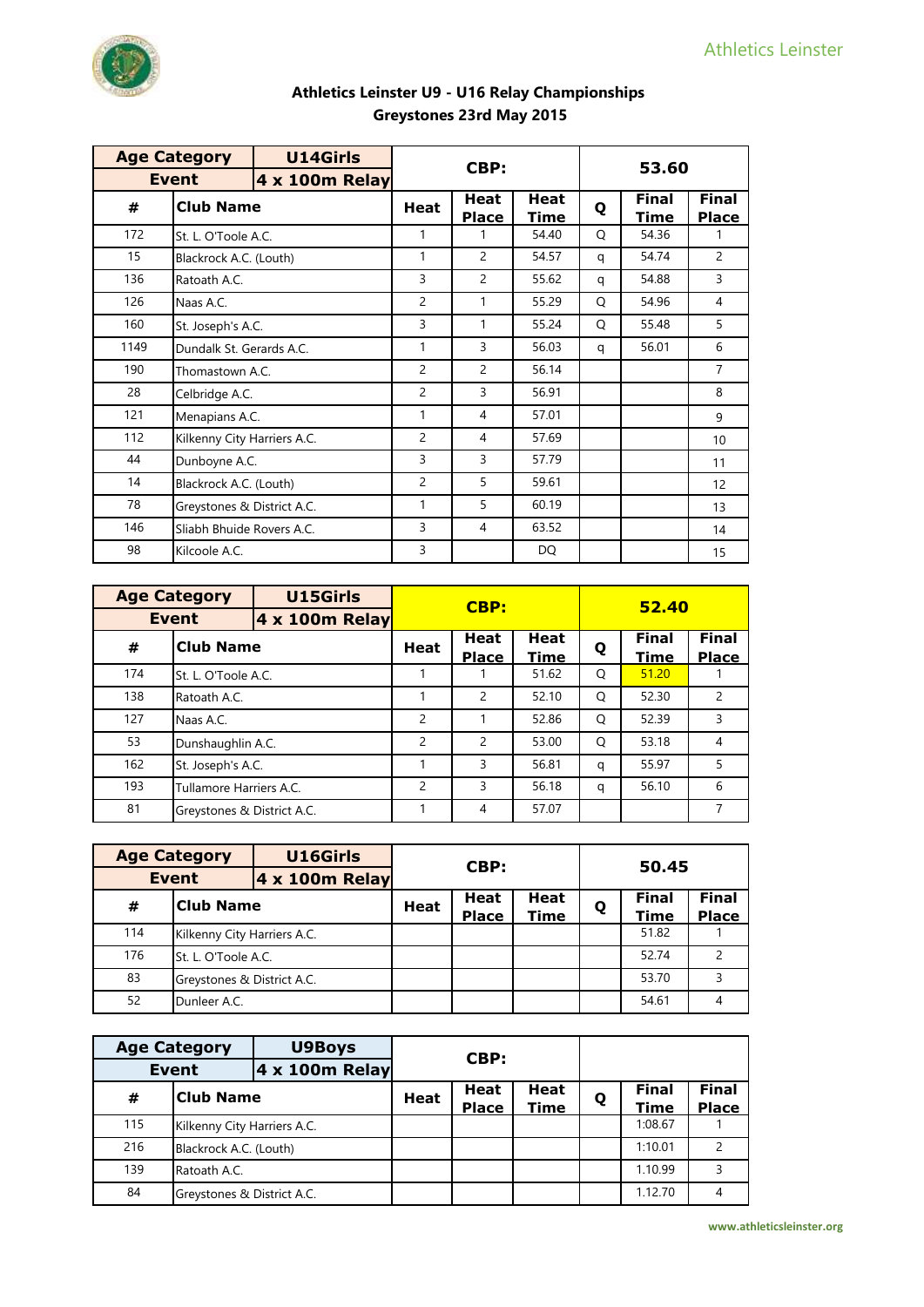

|      | <b>Age Category</b>         | <b>U14Girls</b> |                | CBP:                        |                            |   |                      |                              |
|------|-----------------------------|-----------------|----------------|-----------------------------|----------------------------|---|----------------------|------------------------------|
|      | <b>Event</b>                | 4 x 100m Relay  |                |                             |                            |   | 53.60                |                              |
| #    | <b>Club Name</b>            |                 | <b>Heat</b>    | <b>Heat</b><br><b>Place</b> | <b>Heat</b><br><u>Time</u> | Q | Final<br><u>Time</u> | <b>Final</b><br><b>Place</b> |
| 172  | St. L. O'Toole A.C.         |                 | 1              | 1                           | 54.40                      | Q | 54.36                | 1                            |
| 15   | Blackrock A.C. (Louth)      |                 | 1              | 2                           | 54.57                      | q | 54.74                | $\overline{2}$               |
| 136  | Ratoath A.C.                |                 | 3              | 2                           | 55.62                      | q | 54.88                | 3                            |
| 126  | Naas A.C.                   |                 | $\overline{2}$ | 1                           | 55.29                      | Q | 54.96                | 4                            |
| 160  | St. Joseph's A.C.           |                 | 3              | 1                           | 55.24                      | Q | 55.48                | 5                            |
| 1149 | Dundalk St. Gerards A.C.    |                 | 1              | 3                           | 56.03                      | q | 56.01                | 6                            |
| 190  | Thomastown A.C.             |                 | $\overline{2}$ | 2                           | 56.14                      |   |                      | 7                            |
| 28   | Celbridge A.C.              |                 | $\overline{2}$ | 3                           | 56.91                      |   |                      | 8                            |
| 121  | Menapians A.C.              |                 | 1              | 4                           | 57.01                      |   |                      | 9                            |
| 112  | Kilkenny City Harriers A.C. |                 | $\overline{2}$ | 4                           | 57.69                      |   |                      | 10 <sup>°</sup>              |
| 44   | Dunboyne A.C.               |                 | 3              | 3                           | 57.79                      |   |                      | 11                           |
| 14   | Blackrock A.C. (Louth)      |                 | $\overline{2}$ | 5                           | 59.61                      |   |                      | 12                           |
| 78   | Greystones & District A.C.  |                 | 1              | 5                           | 60.19                      |   |                      | 13                           |
| 146  | Sliabh Bhuide Rovers A.C.   |                 | 3              | 4                           | 63.52                      |   |                      | 14                           |
| 98   | Kilcoole A.C.               |                 | 3              |                             | DQ                         |   |                      | 15                           |

|     | <b>Age Category</b>        | U15Girls       |      | <b>CBP:</b>                 |              |   | 52.40                       |                              |
|-----|----------------------------|----------------|------|-----------------------------|--------------|---|-----------------------------|------------------------------|
|     | <b>Event</b>               | 4 x 100m Relay |      |                             |              |   |                             |                              |
| #   | <b>Club Name</b>           |                | Heat | <b>Heat</b><br><b>Place</b> | Heat<br>Time | Q | <b>Final</b><br><b>Time</b> | <b>Final</b><br><b>Place</b> |
| 174 | St. L. O'Toole A.C.        |                |      |                             | 51.62        | O | 51.20                       |                              |
| 138 | Ratoath A.C.               |                |      | 2                           | 52.10        | O | 52.30                       | $\mathcal{P}$                |
| 127 | Naas A.C.                  |                | 2    |                             | 52.86        | O | 52.39                       | 3                            |
| 53  | Dunshaughlin A.C.          |                | 2    | 2                           | 53.00        | O | 53.18                       | 4                            |
| 162 | St. Joseph's A.C.          |                |      | 3                           | 56.81        | q | 55.97                       | 5                            |
| 193 | Tullamore Harriers A.C.    |                | 2    | 3                           | 56.18        | q | 56.10                       | 6                            |
| 81  | Greystones & District A.C. |                |      | 4                           | 57.07        |   |                             | 7                            |

|     | <b>Age Category</b>         | U16Girls              |             | CBP:         |             |   | 50.45        |               |
|-----|-----------------------------|-----------------------|-------------|--------------|-------------|---|--------------|---------------|
|     | <b>Event</b>                | <b>4 x 100m Relay</b> |             |              |             |   |              |               |
| #   | <b>Club Name</b>            |                       | <b>Heat</b> | <b>Heat</b>  | <b>Heat</b> | Q | <b>Final</b> | <b>Final</b>  |
|     |                             |                       |             | <b>Place</b> | <b>Time</b> |   | <b>Time</b>  | <b>Place</b>  |
| 114 | Kilkenny City Harriers A.C. |                       |             |              |             |   | 51.82        |               |
| 176 | St. L. O'Toole A.C.         |                       |             |              |             |   | 52.74        | $\mathcal{P}$ |
| 83  | Greystones & District A.C.  |                       |             |              |             |   | 53.70        | ς             |
| 52  | Dunleer A.C.                |                       |             |              |             |   | 54.61        |               |

|     | <b>Age Category</b>         | <b>U9Boys</b>  | CBP:        |              |             |   |                        |              |
|-----|-----------------------------|----------------|-------------|--------------|-------------|---|------------------------|--------------|
|     | Event                       | 4 x 100m Relay |             |              |             |   |                        |              |
| #   | <b>Club Name</b>            |                | <b>Heat</b> | <b>Heat</b>  | <b>Heat</b> | Q | <b>Final</b>           | <b>Final</b> |
| 115 | Kilkenny City Harriers A.C. |                |             | <b>Place</b> | <b>Time</b> |   | <b>Time</b><br>1:08.67 | <b>Place</b> |
| 216 | Blackrock A.C. (Louth)      |                |             |              |             |   | 1:10.01                |              |
| 139 | Ratoath A.C.                |                |             |              |             |   | 1.10.99                |              |
| 84  | Greystones & District A.C.  |                |             |              |             |   | 1.12.70                | 4            |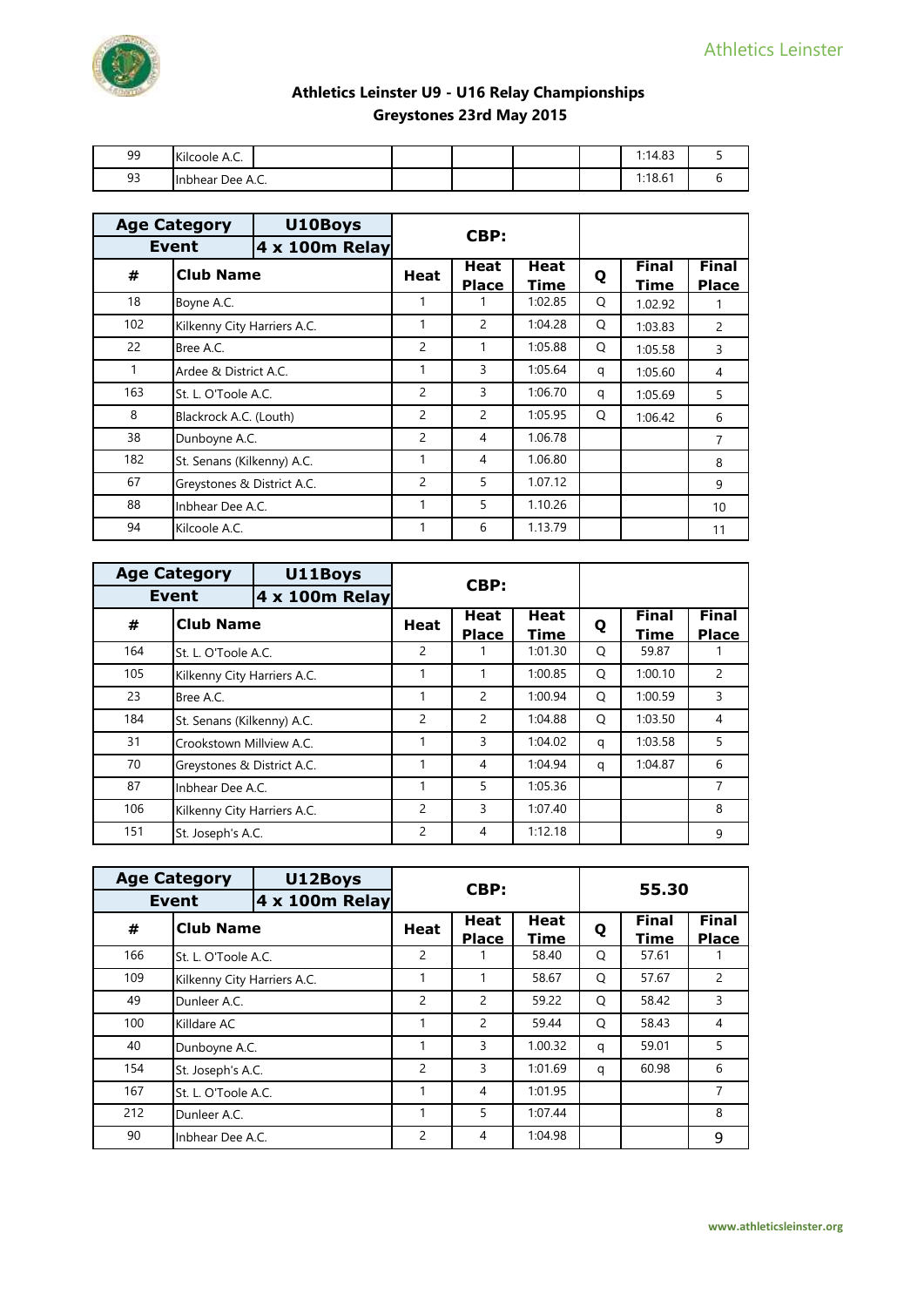

| 99 | Kilcoole A.C.    |  |  | 102<br>1:14.83 |  |
|----|------------------|--|--|----------------|--|
| 93 | Inbhear Dee A.C. |  |  | 1:18.61        |  |

|     | <b>Age Category</b>         | U10Boys        |                | CBP:                 |                     |   |                      |                              |
|-----|-----------------------------|----------------|----------------|----------------------|---------------------|---|----------------------|------------------------------|
|     | <b>Event</b>                | 4 x 100m Relay |                |                      |                     |   |                      |                              |
| #   | <b>Club Name</b>            |                | <b>Heat</b>    | Heat<br><b>Place</b> | <b>Heat</b><br>Time | Q | <b>Final</b><br>Time | <b>Final</b><br><b>Place</b> |
| 18  | Boyne A.C.                  |                |                |                      | 1:02.85             | Q | 1.02.92              |                              |
| 102 | Kilkenny City Harriers A.C. |                | 1              | 2                    | 1:04.28             | Q | 1:03.83              | $\mathcal{P}$                |
| 22  | Bree A.C.                   |                | $\overline{c}$ | 1                    | 1:05.88             | Q | 1:05.58              | 3                            |
| 1   | Ardee & District A.C.       |                | 1              | 3                    | 1:05.64             | q | 1:05.60              | 4                            |
| 163 | St. L. O'Toole A.C.         |                | $\overline{c}$ | 3                    | 1:06.70             | q | 1:05.69              | 5                            |
| 8   | Blackrock A.C. (Louth)      |                | $\overline{c}$ | $\overline{c}$       | 1:05.95             | Q | 1:06.42              | 6                            |
| 38  | Dunboyne A.C.               |                | $\overline{c}$ | 4                    | 1.06.78             |   |                      | 7                            |
| 182 | St. Senans (Kilkenny) A.C.  |                | 1              | 4                    | 1.06.80             |   |                      | 8                            |
| 67  | Greystones & District A.C.  |                | $\overline{c}$ | 5                    | 1.07.12             |   |                      | 9                            |
| 88  | Inbhear Dee A.C.            |                | 1              | 5                    | 1.10.26             |   |                      | 10 <sup>1</sup>              |
| 94  | Kilcoole A.C.               |                | 1              | 6                    | 1.13.79             |   |                      | 11                           |

| <b>Age Category</b>            |                             | U11Boys |                | CBP:                        |              |   |                      |                              |
|--------------------------------|-----------------------------|---------|----------------|-----------------------------|--------------|---|----------------------|------------------------------|
| <b>Event</b><br>4 x 100m Relay |                             |         |                |                             |              |   |                      |                              |
| #                              | <b>Club Name</b>            |         | <b>Heat</b>    | <b>Heat</b><br><b>Place</b> | Heat<br>Time | Q | <b>Final</b><br>Time | <b>Final</b><br><b>Place</b> |
| 164                            | St. L. O'Toole A.C.         |         | 2              |                             | 1:01.30      | O | 59.87                |                              |
| 105                            | Kilkenny City Harriers A.C. |         |                | 1                           | 1:00.85      | O | 1:00.10              | 2                            |
| 23                             | Bree A.C.                   |         | 1              | 2                           | 1:00.94      | O | 1:00.59              | 3                            |
| 184                            | St. Senans (Kilkenny) A.C.  |         | $\overline{2}$ | 2                           | 1:04.88      | O | 1:03.50              | $\overline{4}$               |
| 31                             | Crookstown Millview A.C.    |         |                | 3                           | 1:04.02      | q | 1:03.58              | 5                            |
| 70                             | Greystones & District A.C.  |         |                | $\overline{4}$              | 1:04.94      | q | 1:04.87              | 6                            |
| 87                             | Inbhear Dee A.C.            |         | 1              | 5                           | 1:05.36      |   |                      | 7                            |
| 106                            | Kilkenny City Harriers A.C. |         | 2              | 3                           | 1:07.40      |   |                      | 8                            |
| 151                            | St. Joseph's A.C.           |         | 2              | 4                           | 1:12.18      |   |                      | 9                            |

| <b>Age Category</b><br><b>Event</b><br>4 x 100m Relay |                             | U12Boys |                | CBP:                        |                     |   | 55.30                       |                              |  |  |
|-------------------------------------------------------|-----------------------------|---------|----------------|-----------------------------|---------------------|---|-----------------------------|------------------------------|--|--|
|                                                       |                             |         |                |                             |                     |   |                             |                              |  |  |
| #                                                     | <b>Club Name</b>            |         | <b>Heat</b>    | <b>Heat</b><br><b>Place</b> | <b>Heat</b><br>Time | Q | <b>Final</b><br><b>Time</b> | <b>Final</b><br><b>Place</b> |  |  |
| 166                                                   | St. L. O'Toole A.C.         |         | $\overline{2}$ |                             | 58.40               | Q | 57.61                       |                              |  |  |
| 109                                                   | Kilkenny City Harriers A.C. |         | 1              | 1                           | 58.67               | Q | 57.67                       | 2                            |  |  |
| 49                                                    | Dunleer A.C.                |         | 2              | $\mathcal{P}$               | 59.22               | Q | 58.42                       | 3                            |  |  |
| 100                                                   | Killdare AC                 |         | 1              | 2                           | 59.44               | O | 58.43                       | 4                            |  |  |
| 40                                                    | Dunboyne A.C.               |         | 1              | 3                           | 1.00.32             | q | 59.01                       | 5                            |  |  |
| 154                                                   | St. Joseph's A.C.           |         | $\overline{c}$ | 3                           | 1:01.69             | q | 60.98                       | 6                            |  |  |
| 167                                                   | St. L. O'Toole A.C.         |         | 1              | 4                           | 1:01.95             |   |                             | 7                            |  |  |
| 212                                                   | Dunleer A.C.                |         | 1              | 5                           | 1:07.44             |   |                             | 8                            |  |  |
| 90                                                    | Inbhear Dee A.C.            |         | $\overline{2}$ | 4                           | 1:04.98             |   |                             | 9                            |  |  |